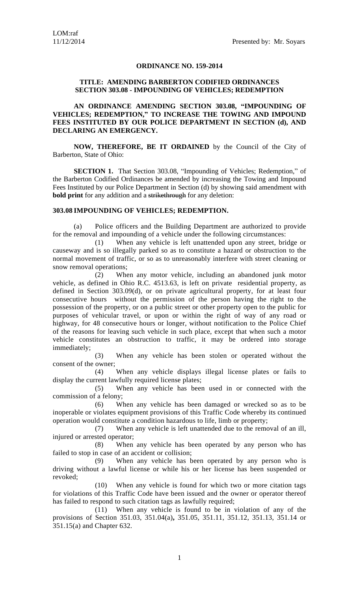## **ORDINANCE NO. 159-2014**

## **TITLE: AMENDING BARBERTON CODIFIED ORDINANCES SECTION 303.08 - IMPOUNDING OF VEHICLES; REDEMPTION**

## **AN ORDINANCE AMENDING SECTION 303.08, "IMPOUNDING OF VEHICLES; REDEMPTION, " TO INCREASE THE TOWING AND IMPOUND FEES INSTITUTED BY OUR POLICE DEPARTMENT IN SECTION (d), AND DECLARING AN EMERGENCY.**

**NOW, THEREFORE, BE IT ORDAINED** by the Council of the City of Barberton, State of Ohio:

**SECTION 1.** That Section 303.08, "Impounding of Vehicles; Redemption," of the Barberton Codified Ordinances be amended by increasing the Towing and Impound Fees Instituted by our Police Department in Section (d) by showing said amendment with **bold print** for any addition and a strikethrough for any deletion:

## **303.08 IMPOUNDING OF VEHICLES; REDEMPTION.**

(a) Police officers and the Building Department are authorized to provide for the removal and impounding of a vehicle under the following circumstances:

(1) When any vehicle is left unattended upon any street, bridge or causeway and is so illegally parked so as to constitute a hazard or obstruction to the normal movement of traffic, or so as to unreasonably interfere with street cleaning or snow removal operations;

(2) When any motor vehicle, including an abandoned junk motor vehicle, as defined in Ohio R.C. 4513.63, is left on private residential property, as defined in Section 303.09(d), or on private agricultural property, for at least four consecutive hours without the permission of the person having the right to the possession of the property, or on a public street or other property open to the public for purposes of vehicular travel, or upon or within the right of way of any road or highway, for 48 consecutive hours or longer, without notification to the Police Chief of the reasons for leaving such vehicle in such place, except that when such a motor vehicle constitutes an obstruction to traffic, it may be ordered into storage immediately;

(3) When any vehicle has been stolen or operated without the consent of the owner;

(4) When any vehicle displays illegal license plates or fails to display the current lawfully required license plates;

(5) When any vehicle has been used in or connected with the commission of a felony;

(6) When any vehicle has been damaged or wrecked so as to be inoperable or violates equipment provisions of this Traffic Code whereby its continued operation would constitute a condition hazardous to life, limb or property;

(7) When any vehicle is left unattended due to the removal of an ill, injured or arrested operator;

(8) When any vehicle has been operated by any person who has failed to stop in case of an accident or collision;

(9) When any vehicle has been operated by any person who is driving without a lawful license or while his or her license has been suspended or revoked;

(10) When any vehicle is found for which two or more citation tags for violations of this Traffic Code have been issued and the owner or operator thereof has failed to respond to such citation tags as lawfully required;

(11) When any vehicle is found to be in violation of any of the provisions of Section 351.03, 351.04(a)**,** 351.05, 351.11, 351.12, 351.13, 351.14 or 351.15(a) and Chapter 632.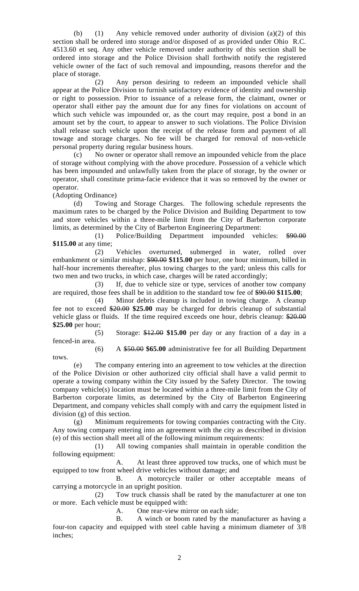(b) (1) Any vehicle removed under authority of division (a)(2) of this section shall be ordered into storage and/or disposed of as provided under Ohio R.C. 4513.60 et seq. Any other vehicle removed under authority of this section shall be ordered into storage and the Police Division shall forthwith notify the registered vehicle owner of the fact of such removal and impounding, reasons therefor and the place of storage.

(2) Any person desiring to redeem an impounded vehicle shall appear at the Police Division to furnish satisfactory evidence of identity and ownership or right to possession. Prior to issuance of a release form, the claimant, owner or operator shall either pay the amount due for any fines for violations on account of which such vehicle was impounded or, as the court may require, post a bond in an amount set by the court, to appear to answer to such violations. The Police Division shall release such vehicle upon the receipt of the release form and payment of all towage and storage charges. No fee will be charged for removal of non-vehicle personal property during regular business hours.

(c) No owner or operator shall remove an impounded vehicle from the place of storage without complying with the above procedure. Possession of a vehicle which has been impounded and unlawfully taken from the place of storage, by the owner or operator, shall constitute prima-facie evidence that it was so removed by the owner or operator.

(Adopting Ordinance)<br>(d) Towing

Towing and Storage Charges. The following schedule represents the maximum rates to be charged by the Police Division and Building Department to tow and store vehicles within a three-mile limit from the City of Barberton corporate limits, as determined by the City of Barberton Engineering Department:

(1) Police/Building Department impounded vehicles: \$90.00 **\$115.00** at any time;

(2) Vehicles overturned, submerged in water, rolled over embankment or similar mishap: \$90.00 **\$115.00** per hour, one hour minimum, billed in half-hour increments thereafter, plus towing charges to the yard; unless this calls for two men and two trucks, in which case, charges will be rated accordingly;

(3) If, due to vehicle size or type, services of another tow company are required, those fees shall be in addition to the standard tow fee of \$90.00 **\$115.00**;

(4) Minor debris cleanup is included in towing charge. A cleanup fee not to exceed \$20.00 **\$25.00** may be charged for debris cleanup of substantial vehicle glass or fluids. If the time required exceeds one hour, debris cleanup: \$20.00 **\$25.00** per hour;

(5) Storage: \$12.00 **\$15.00** per day or any fraction of a day in a fenced-in area.

(6) A \$50.00 **\$65.00** administrative fee for all Building Department tows.

(e) The company entering into an agreement to tow vehicles at the direction of the Police Division or other authorized city official shall have a valid permit to operate a towing company within the City issued by the Safety Director. The towing company vehicle(s) location must be located within a three-mile limit from the City of Barberton corporate limits, as determined by the City of Barberton Engineering Department, and company vehicles shall comply with and carry the equipment listed in division (g) of this section.

(g) Minimum requirements for towing companies contracting with the City. Any towing company entering into an agreement with the city as described in division (e) of this section shall meet all of the following minimum requirements:

(1) All towing companies shall maintain in operable condition the following equipment:

A. At least three approved tow trucks, one of which must be equipped to tow front wheel drive vehicles without damage; and

B. A motorcycle trailer or other acceptable means of carrying a motorcycle in an upright position.

(2) Tow truck chassis shall be rated by the manufacturer at one ton or more. Each vehicle must be equipped with:

A. One rear-view mirror on each side;

B. A winch or boom rated by the manufacturer as having a four-ton capacity and equipped with steel cable having a minimum diameter of 3/8 inches;